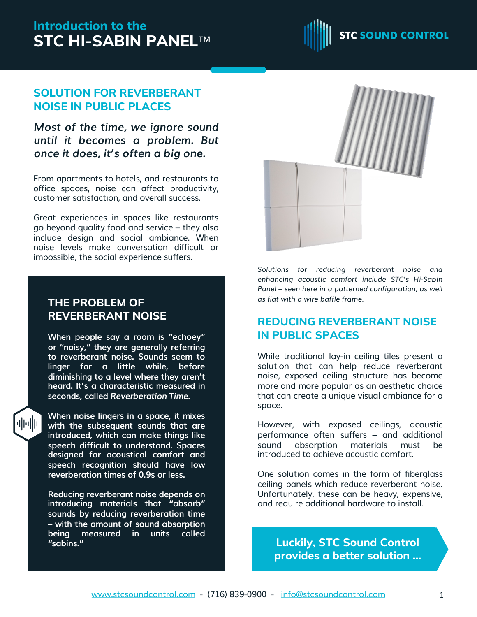# **Introduction to the STC HI-SABIN PANEL**™



## **SOLUTION FOR REVERBERANT NOISE IN PUBLIC PLACES**

*Most of the time, we ignore sound until it becomes a problem. But once it does, it's often a big one.*

From apartments to hotels, and restaurants to office spaces, noise can affect productivity, customer satisfaction, and overall success.

Great experiences in spaces like restaurants go beyond quality food and service – they also include design and social ambiance. When noise levels make conversation difficult or impossible, the social experience suffers.

## **THE PROBLEM OF REVERBERANT NOISE**

**When people say a room is "echoey" or "noisy," they are generally referring to reverberant noise. Sounds seem to linger for a little while, before diminishing to a level where they aren't heard. It's a characteristic measured in seconds, called** *Reverberation Time***.**



**When noise lingers in a space, it mixes with the subsequent sounds that are introduced, which can make things like speech difficult to understand. Spaces designed for acoustical comfort and speech recognition should have low reverberation times of 0.9s or less.**

**Reducing reverberant noise depends on introducing materials that "absorb" sounds by reducing reverberation time – with the amount of sound absorption being measured in units called "sabins."**



*Solutions for reducing reverberant noise and enhancing acoustic comfort include STC's Hi-Sabin Panel – seen here in a patterned configuration, as well as flat with a wire baffle frame.*

## **REDUCING REVERBERANT NOISE IN PUBLIC SPACES**

While traditional lay-in ceiling tiles present a solution that can help reduce reverberant noise, exposed ceiling structure has become more and more popular as an aesthetic choice that can create a unique visual ambiance for a space.

However, with exposed ceilings, acoustic performance often suffers – and additional sound absorption materials must be introduced to achieve acoustic comfort.

One solution comes in the form of fiberglass ceiling panels which reduce reverberant noise. Unfortunately, these can be heavy, expensive, and require additional hardware to install.

**Luckily, STC Sound Control provides a better solution ...**